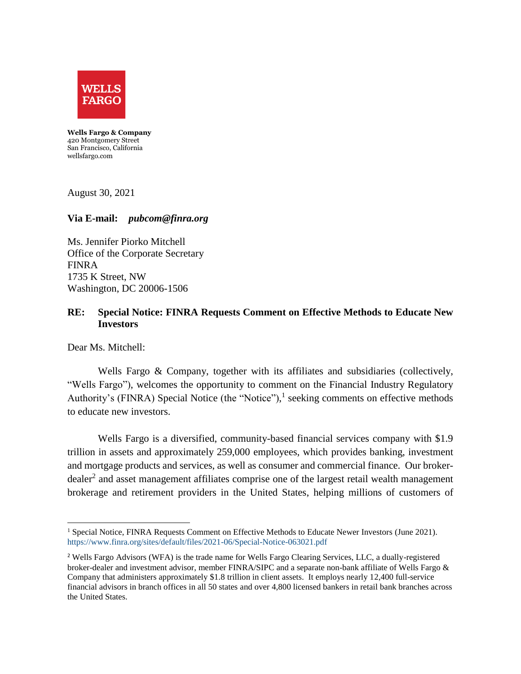

**Wells Fargo & Company**  420 Montgomery Street San Francisco, California wellsfargo.com

August 30, 2021

## **Via E-mail:** *pubcom@finra.org*

Ms. Jennifer Piorko Mitchell Office of the Corporate Secretary FINRA 1735 K Street, NW Washington, DC 20006-1506

## **RE: Special Notice: FINRA Requests Comment on Effective Methods to Educate New Investors**

Dear Ms. Mitchell:

Wells Fargo & Company, together with its affiliates and subsidiaries (collectively, "Wells Fargo"), welcomes the opportunity to comment on the Financial Industry Regulatory Authority's (FINRA) Special Notice (the "Notice"),<sup>1</sup> seeking comments on effective methods to educate new investors.

Wells Fargo is a diversified, community-based financial services company with \$1.9 trillion in assets and approximately 259,000 employees, which provides banking, investment and mortgage products and services, as well as consumer and commercial finance. Our brokerdealer<sup>2</sup> and asset management affiliates comprise one of the largest retail wealth management brokerage and retirement providers in the United States, helping millions of customers of

 $\overline{\phantom{a}}$ <sup>1</sup> Special Notice, FINRA Requests Comment on Effective Methods to Educate Newer Investors (June 2021). <https://www.finra.org/sites/default/files/2021-06/Special-Notice-063021.pdf>

<sup>&</sup>lt;sup>2</sup> Wells Fargo Advisors (WFA) is the trade name for Wells Fargo Clearing Services, LLC, a dually-registered broker-dealer and investment advisor, member FINRA/SIPC and a separate non-bank affiliate of Wells Fargo & Company that administers approximately \$1.8 trillion in client assets. It employs nearly 12,400 full-service financial advisors in branch offices in all 50 states and over 4,800 licensed bankers in retail bank branches across the United States.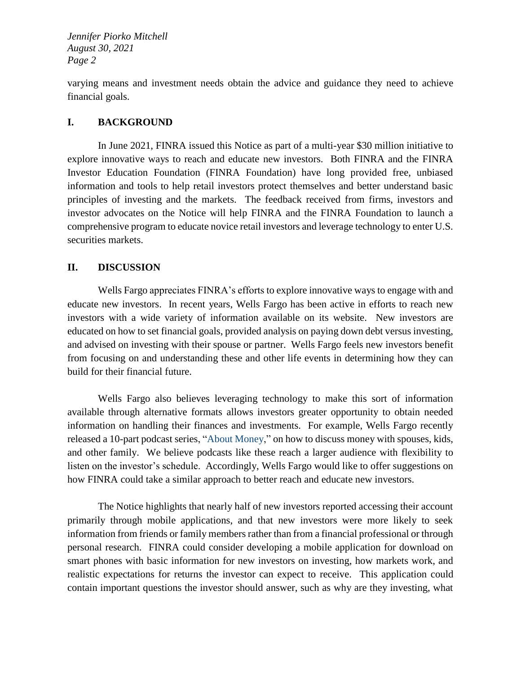*Jennifer Piorko Mitchell August 30, 2021 Page 2*

varying means and investment needs obtain the advice and guidance they need to achieve financial goals.

## **I. BACKGROUND**

In June 2021, FINRA issued this Notice as part of a multi-year \$30 million initiative to explore innovative ways to reach and educate new investors. Both FINRA and the FINRA Investor Education Foundation (FINRA Foundation) have long provided free, unbiased information and tools to help retail investors protect themselves and better understand basic principles of investing and the markets. The feedback received from firms, investors and investor advocates on the Notice will help FINRA and the FINRA Foundation to launch a comprehensive program to educate novice retail investors and leverage technology to enter U.S. securities markets.

## **II. DISCUSSION**

Wells Fargo appreciates FINRA's efforts to explore innovative ways to engage with and educate new investors. In recent years, Wells Fargo has been active in efforts to reach new investors with a wide variety of information available on its [website.](https://www.wellsfargoadvisors.com/planning/goals/start-investing.htm?linknav=topnav:planLife:helpPlan:newToInvesting) New investors are educated on how to set financial goals, provided analysis on paying down debt versus investing, and advised on investing with their spouse or partner. Wells Fargo feels new investors benefit from focusing on and understanding these and other life events in determining how they can build for their financial future.

Wells Fargo also believes leveraging technology to make this sort of information available through alternative formats allows investors greater opportunity to obtain needed information on handling their finances and investments. For example, Wells Fargo recently released a 10-part podcast series, ["About Money,](https://conversations.wf.com/cnvcategory/about-money-podcast-series/)" on how to discuss money with spouses, kids, and other family. We believe podcasts like these reach a larger audience with flexibility to listen on the investor's schedule. Accordingly, Wells Fargo would like to offer suggestions on how FINRA could take a similar approach to better reach and educate new investors.

The Notice highlights that nearly half of new investors reported accessing their account primarily through mobile applications, and that new investors were more likely to seek information from friends or family members rather than from a financial professional or through personal research. FINRA could consider developing a mobile application for download on smart phones with basic information for new investors on investing, how markets work, and realistic expectations for returns the investor can expect to receive. This application could contain important questions the investor should answer, such as why are they investing, what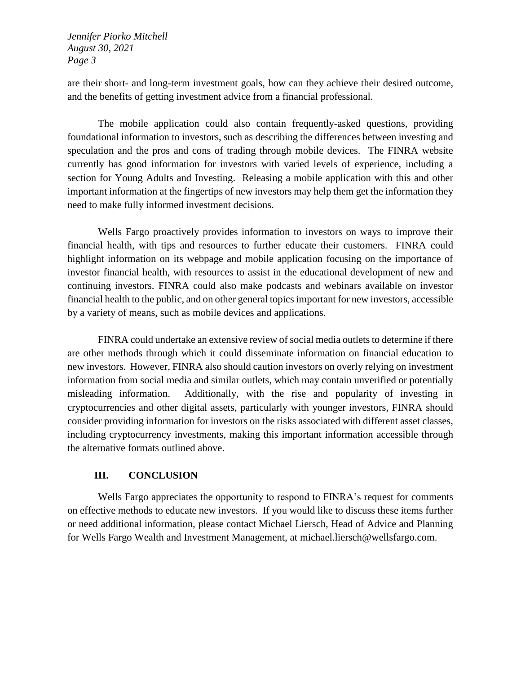*Jennifer Piorko Mitchell August 30, 2021 Page 3*

are their short- and long-term investment goals, how can they achieve their desired outcome, and the benefits of getting investment advice from a financial professional.

The mobile application could also contain frequently-asked questions, providing foundational information to investors, such as describing the differences between investing and speculation and the pros and cons of trading through mobile devices. The FINRA website currently has good information for investors with varied levels of experience, including a section for [Young Adults and Investing.](https://www.finra.org/investors/learn-to-invest/young-adults-and-investing) Releasing a mobile application with this and other important information at the fingertips of new investors may help them get the information they need to make fully informed investment decisions.

Wells Fargo proactively provides information to investors on ways to improve their financial health, with tips and resources to further educate their customers. FINRA could highlight information on its webpage and mobile application focusing on the importance of investor financial health, with resources to assist in the educational development of new and continuing investors. FINRA could also make podcasts and webinars available on investor financial health to the public, and on other general topics important for new investors, accessible by a variety of means, such as mobile devices and applications.

FINRA could undertake an extensive review of social media outlets to determine if there are other methods through which it could disseminate information on financial education to new investors. However, FINRA also should caution investors on overly relying on investment information from social media and similar outlets, which may contain unverified or potentially misleading information. Additionally, with the rise and popularity of investing in cryptocurrencies and other digital assets, particularly with younger investors, FINRA should consider providing information for investors on the risks associated with different asset classes, including cryptocurrency investments, making this important information accessible through the alternative formats outlined above.

# **III. CONCLUSION**

Wells Fargo appreciates the opportunity to respond to FINRA's request for comments on effective methods to educate new investors. If you would like to discuss these items further or need additional information, please contact Michael Liersch, Head of Advice and Planning for Wells Fargo Wealth and Investment Management, at [michael.liersch@wellsfargo.com.](mailto:michael.liersch@wellsfargo.com)